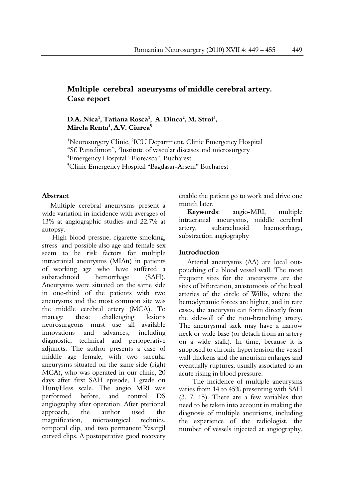# **Multiple cerebral aneurysms of middle cerebral artery. Case report**

# D.A. Nica<sup>1</sup>, Tatiana Rosca<sup>1</sup>, A. Dinca<sup>2</sup>, M. Stroi<sup>3</sup>, **Mirela Renta4 , A.V. Ciurea5**

<sup>1</sup>Neurosurgery Clinic, <sup>2</sup>ICU Department, Clinic Emergency Hospital "Sf. Pantelimon", <sup>3</sup>Institute of vascular diseases and microsurgery 4 Emergency Hospital "Floreasca", Bucharest 5 Clinic Emergency Hospital "Bagdasar-Arseni" Bucharest

# **Abstract**

Multiple cerebral aneurysms present a wide variation in incidence with averages of 13% at angiographic studies and 22.7% at autopsy.

 High blood pressue, cigarette smoking, stress and possible also age and female sex seem to be risk factors for multiple intracranial aneurysms (MIAn) in patients of working age who have suffered a subarachnoid hemorrhage (SAH). Aneurysms were situated on the same side in one-third of the patients with two aneurysms and the most common site was the middle cerebral artery (MCA). To manage these challenging lesions neurosurgeons must use all available innovations and advances, including diagnostic, technical and perioperative adjuncts. The author presents a case of middle age female, with two saccular aneurysms situated on the same side (right MCA), who was operated in our clinic, 20 days after first SAH episode, I grade on Hunt/Hess scale. The angio MRI was performed before, and control DS angiography after operation. After pterional approach, the author used the magnification, microsurgical technics, temporal clip, and two permanent Yasargil curved clips. A postoperative good recovery enable the patient go to work and drive one month later.

**Keywords**: angio-MRI, multiple intracranial aneurysms, middle cerebral artery, subarachnoid haemorrhage, substraction angiography

#### **Introduction**

Arterial aneurysms (AA) are local outpouching of a blood vessel wall. The most frequent sites for the aneurysms are the sites of bifurcation, anastomosis of the basal arteries of the circle of Willis, where the hemodynamic forces are higher, and in rare cases, the aneurysm can form directly from the sidewall of the non-branching artery. The aneurysmal sack may have a narrow neck or wide base (or detach from an artery on a wide stalk). In time, because it is supposed to chronic hypertension the vessel wall thickens and the aneurism enlarges and eventually ruptures, usually associated to an acute rising in blood pressure.

 The incidence of multiple aneurysms varies from 14 to 45% presenting with SAH (3, 7, 15). There are a few variables that need to be taken into account in making the diagnosis of multiple aneurisms, including the experience of the radiologist, the number of vessels injected at angiography,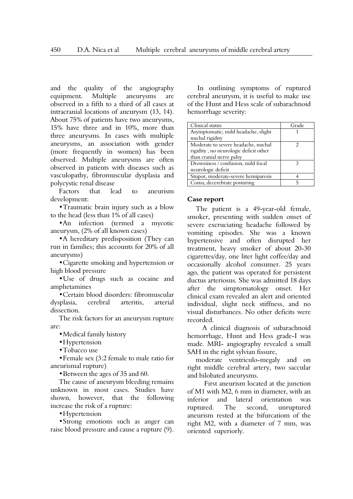and the quality of the angiography equipment. Multiple aneurysms are observed in a fifth to a third of all cases at intracranial locations of aneurysm (13, 14). About 75% of patients have two aneurysms, 15% have three and in 10%, more than three aneurysms. In cases with multiple aneurysms, an association with gender (more frequently in women) has been observed. Multiple aneurysms are often observed in patients with diseases such as vasculopathy, fibromuscular dysplasia and polycystic renal disease

Factors that lead to aneurism development:

•Traumatic brain injury such as a blow to the head (less than 1% of all cases)

•An infection (termed a mycotic aneurysm, (2% of all known cases)

•A hereditary predisposition (They can run in families; this accounts for 20% of all aneurysms)

•Cigarette smoking and hypertension or high blood pressure

•Use of drugs such as cocaine and amphetamines

•Certain blood disorders: fibromuscular dysplasia, cerebral arteritis, arterial dissection.

The risk factors for an aneurysm rupture are:

•Medical family history

•Hypertension

•Tobacco use

•Female sex (3:2 female to male ratio for aneurismal rupture)

•Between the ages of 35 and 60.

The cause of aneurysm bleeding remains unknown in most cases. Studies have shown, however, that the following increase the risk of a rupture:

•Hypertension

•Strong emotions such as anger can raise blood pressure and cause a rupture (9).

 In outlining symptoms of ruptured cerebral aneurysm, it is useful to make use of the Hunt and Hess scale of subarachnoid hemorrhage severity:

| Clinical status                                                                                          | Grade |
|----------------------------------------------------------------------------------------------------------|-------|
| Asymptomatic, mild headache, slight<br>nuchal rigidity                                                   |       |
| Moderate to severe headache, nuchal<br>rigidity, no neurologic deficit other<br>than cranial nerve palsy |       |
| Drowsiness / confusion, mild focal<br>neurologic deficit                                                 |       |
| Stupor, moderate-severe hemiparesis                                                                      |       |
| Coma, decerebrate posturing                                                                              |       |

# **Case report**

The patient is a 49-year-old female, smoker, presenting with sudden onset of severe excruciating headache followed by vomiting episodes. She was a known hypertensive and often disrupted her treatment, heavy smoker of about 20-30 cigarettes/day, one liter light coffee/day and occasionally alcohol consumer. 25 years ago, the patient was operated for persistent ductus arteriosus. She was admitted 18 days after the simptomatology onset. Her clinical exam revealed an alert and oriented individual, slight neck stiffness, and no visual disturbances. No other deficits were recorded.

 A clinical diagnosis of subarachnoid hemorrhage, Hunt and Hess grade-I was made. MRI- angiography revealed a small SAH in the right sylvian fissure,

moderate ventriculo-megaly and on right middle cerebral artery, two saccular and bilobated aneurysms.

 First aneurism located at the junction of M1 with M2, 6 mm in diameter, with an inferior and lateral orientation was ruptured. The second, unruptured aneurism rested at the bifurcatiom of the right M2, with a diameter of 7 mm, was oriented superiorly.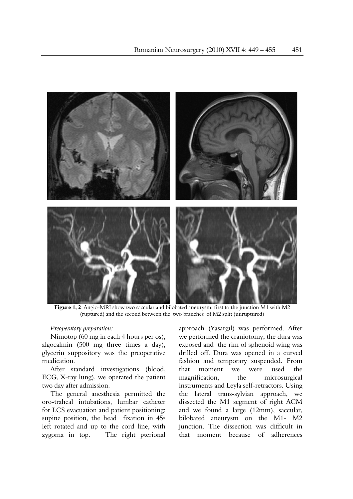

 **Figure 1, 2** Angio-MRI show two saccular and bilobated aneurysm: first to the junction M1 with M2 (ruptured) and the second between the two branches of M2 split (unruptured)

# *Preoperatory preparation:*

Nimotop (60 mg in each 4 hours per os), algocalmin (500 mg three times a day), glycerin suppository was the preoperative medication.

After standard investigations (blood, ECG, X-ray lung), we operated the patient two day after admission.

The general anesthesia permitted the oro-traheal intubations, lumbar catheter for LCS evacuation and patient positioning: supine position, the head fixation in 45∘ left rotated and up to the cord line, with zygoma in top. The right pterional

approach (Yasargil) was performed. After we performed the craniotomy, the dura was exposed and the rim of sphenoid wing was drilled off. Dura was opened in a curved fashion and temporary suspended. From that moment we were used the magnification, the microsurgical instruments and Leyla self-retractors. Using the lateral trans-sylvian approach, we dissected the M1 segment of right ACM and we found a large (12mm), saccular, bilobated aneurysm on the M1- M2 junction. The dissection was difficult in that moment because of adherences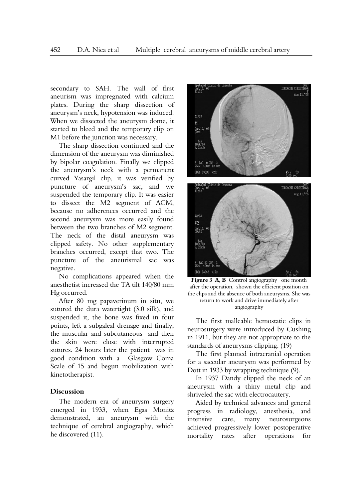secondary to SAH. The wall of first aneurism was impregnated with calcium plates. During the sharp dissection of aneurysm's neck, hypotension was induced. When we dissected the aneurysm dome, it started to bleed and the temporary clip on M1 before the junction was necessary.

The sharp dissection continued and the dimension of the aneurysm was diminished by bipolar coagulation. Finally we clipped the aneurysm's neck with a permanent curved Yasargil clip, it was verified by puncture of aneurysm's sac, and we suspended the temporary clip. It was easier to dissect the M2 segment of ACM, because no adherences occurred and the second aneurysm was more easily found between the two branches of M2 segment. The neck of the distal aneurysm was clipped safety. No other supplementary branches occurred, except that two. The puncture of the aneurismal sac was negative.

No complications appeared when the anesthetist increased the TA tilt 140/80 mm Hg occurred.

After 80 mg papaverinum in situ, we sutured the dura watertight (3.0 silk), and suspended it, the bone was fixed in four points, left a subgaleal drenage and finally, the muscular and subcutaneous and then the skin were close with interrupted sutures. 24 hours later the patient was in good condition with a Glasgow Coma Scale of 15 and begun mobilization with kinetotherapist.

#### **Discussion**

The modern era of aneurysm surgery emerged in 1933, when Egas Monitz demonstrated, an aneurysm with the technique of cerebral angiography, which he discovered (11).





Figure 3 A, B Control angiography one month after the operation, shown the efficient position on the clips and the absence of both aneurysms. She was return to work and drive immediately after angiography

The first malleable hemostatic clips in neurosurgery were introduced by Cushing in 1911, but they are not appropriate to the standards of aneurysms clipping. (19)

The first planned intracranial operation for a saccular aneurysm was performed by Dott in 1933 by wrapping technique (9).

In 1937 Dandy clipped the neck of an aneurysm with a thiny metal clip and shriveled the sac with electrocautery.

Aided by technical advances and general progress in radiology, anesthesia, and intensive care, many neurosurgeons achieved progressively lower postoperative mortality rates after operations for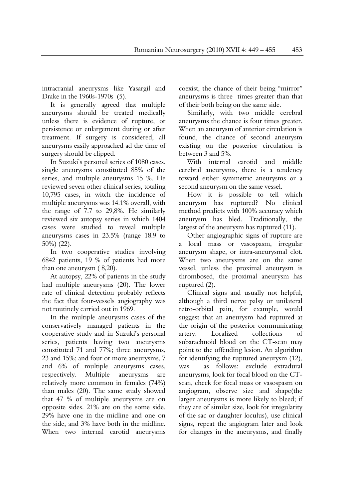intracranial aneurysms like Yasargil and Drake in the 1960s-1970s (5).

It is generally agreed that multiple aneurysms should be treated medically unless there is evidence of rupture, or persistence or enlargement during or after treatment. If surgery is considered, all aneurysms easily approached ad the time of surgery should be clipped.

In Suzuki's personal series of 1080 cases, single aneurysms constituted 85% of the series, and multiple aneurysms 15 %. He reviewed seven other clinical series, totaling 10,795 cases, in witch the incidence of multiple aneurysms was 14.1% overall, with the range of 7.7 to 29,8%. He similarly reviewed six autopsy series in which 1404 cases were studied to reveal multiple aneurysms cases in 23.5% (range 18.9 to 50%) (22).

In two cooperative studies involving 6842 patients, 19 % of patients had more than one aneurysm ( 8,20).

At autopsy, 22% of patients in the study had multiple aneurysms (20). The lower rate of clinical detection probably reflects the fact that four-vessels angiography was not routinely carried out in 1969.

In the multiple aneurysms cases of the conservatively managed patients in the cooperative study and in Suzuki's personal series, patients having two aneurysms constituted 71 and 77%; three aneurysms, 23 and 15%; and four or more aneurysms, 7 and 6% of multiple aneurysms cases, respectively. Multiple aneurysms are relatively more common in females (74%) than males (20). The same study showed that 47 % of multiple aneurysms are on opposite sides. 21% are on the some side. 29% have one in the midline and one on the side, and 3% have both in the midline. When two internal carotid aneurysms

coexist, the chance of their being "mirror" aneurysms is three times greater than that of their both being on the same side.

Similarly, with two middle cerebral aneurysms the chance is four times greater. When an aneurysm of anterior circulation is found, the chance of second aneurysm existing on the posterior circulation is between 3 and 5%.

With internal carotid and middle cerebral aneurysms, there is a tendency toward either symmetric aneurysms or a second aneurysm on the same vessel.

How it is possible to tell which aneurysm has ruptured? No clinical method predicts with 100% accuracy which aneurysm has bled. Traditionally, the largest of the aneurysm has ruptured (11).

Other angiographic signs of rupture are a local mass or vasospasm, irregular aneurysm shape, or intra-aneurysmal clot. When two aneurysms are on the same vessel, unless the proximal aneurysm is thrombosed, the proximal aneurysm has ruptured (2).

Clinical signs and usually not helpful, although a third nerve palsy or unilateral retro-orbital pain, for example, would suggest that an aneurysm had ruptured at the origin of the posterior communicating artery. Localized collections of subarachnoid blood on the CT-scan may point to the offending lesion. An algorithm for identifying the ruptured aneurysm (12), was as follows: exclude extradural aneurysms, look for focal blood on the CTscan, check for focal mass or vasospasm on angiogram, observe size and shape(the larger aneurysms is more likely to bleed; if they are of similar size, look for irregularity of the sac or daughter loculus), use clinical signs, repeat the angiogram later and look for changes in the aneurysms, and finally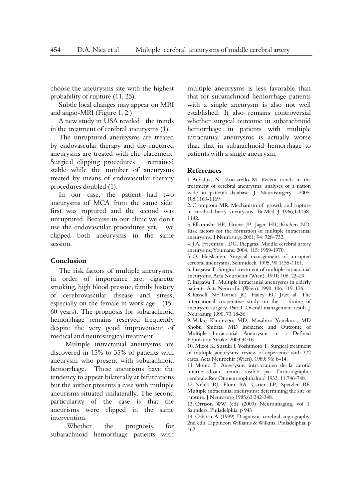choose the aneurysms site with the highest probability of rupture (11, 25).

Subtle local changes may appear on MRI and angio-MRI (Figure 1, 2 )

A new study in USA reveled the trends in the treatment of cerebral aneurysms (1).

The unruptured aneurysms are treated by endovascular therapy and the ruptured aneurysms are treated with clip placement. Surgical clipping procedures remained stable while the number of aneurysms treated by means of endovascular therapy procedures doubled (1).

In our case, the patient had two aneurysms of MCA from the same side: first was ruptured and the second was unruptured. Because in our clinic we don't use the endovascular procedures yet, we clipped both aneurysms in the same session.

# **Conclusion**

The risk factors of multiple aneurysms, in order of importance are: cigarette smoking, high blood pressue, family history of cerebrovascular disease and stress, especially on the female in work age (15- 60 years). The prognosis for subarachnoid hemorrhage remains reserved frequently despite the very good improvement of medical and neurosurgical treatment.

 Multiple intracranial aneurysms are discovered in 15% to 35% of patients with aneurysm who present with subarachnoid hemorrhage. These aneurisms have the tendency to appear bilaterally at bifurcations but the author presents a case with multiple aneurisms situated unilaterally. The second particularity of the case is that the aneurisms were clipped in the same intervention.

 Whether the prognosis for subarachnoid hemorrhage patients with multiple aneurysms is less favorable than that for subarachnoid hemorrhage patients with a single aneurysm is also not well established. It also remains controversial whether surgical outcome in subarachnoid hemorrhage in patients with multiple intracranial aneurysms is actually worse than that in subarachnoid hemorrhage to patients with a single aneurysm.

#### **References**

1. Andaluz, N., Zuccarello M. Recent trends in the treatment of cerebral aneurysms: analyses of a nation wide in patients database. J. Neurosurgery 2008; 108:1163-1169

2. Cromptom MR. Mechanism of growth and rupture in cerebral berry aneurysms. Br.Med J 1966,1:1138- 1142.

3. Ellamushi HE, Grieve JP, Jager HR, Kitchen ND. Risk factors for the formation of multiple intracranial aneurysms. J Neurosurg. 2001; 94: 728–732.

4. J.A. Friedman , DG. Piepgras. Middle cerebral artery aneurysms, Youmans. 2004, 115: 1959-1970.

5. O. Heiskanen. Surgical management of unrupted cerebral aneurysms, Schmideck. 1995, 90:1155-1161.

6. Inagawa T. Surgical treatment of multiple intracranial aneurysms. Acta Neurochir (Wien). 1991; 108: 22–29.

7. Inagawa T. Multiple intracranial aneurysms in elderly patients. Acta Neurochir (Wien). 1990; 106: 119–126.

8. Kassell NF,Torner JC, Haley EC Jr,et al. The international cooperative study on the timing of aneurysm surgery. Part I: Overall management result. J Neurosurg 1990, 73:18-36.

9. Makio Kaminogo, MD; Masahiro Yonekura, MD Shobu Shibata, MD Incidence and Outcome of Multiple Intracranial Aneurysms in a Defined Population Stroke. 2003,34:16.

10. Mizoi K, Suzuki J, Yoshimoto T. Surgical treatment of multiple aneurysms: review of experience with 372 cases. Acta Neurochir (Wien). 1989; 96: 8–14.

11. Moniz E. Anevrysms intra-cranien de la carotid interne droite rendu visible par l"arteriographie cerebrale.Rev Otoneuroophthalmol 1933, 11:746-748.

12. Nehls RJ, Flom RA, Carter LP, Spetzler RF. Multiple intracranial aneurysms: determining the site of rupture. J Neurosurg 1985,63:342-348.

13. Orrison WW (ed) (2000) Neuroimaging, vol 1. Saunders, Philadelphia, p 943

14. Osborn A (1999) Diagnostic cerebral angiography, 2nd edn. Lippincott Williams & Wilkins, Philadelphia, p 462